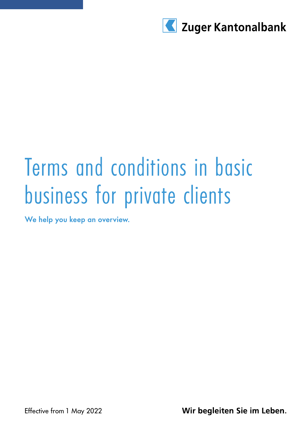

# Terms and conditions in basic business for private clients

We help you keep an overview.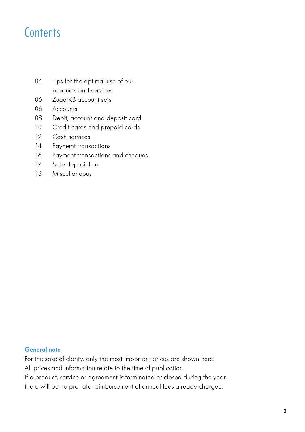### **Contents**

- 04 Tips for the optimal use of our products and services
- 06 ZugerKB account sets
- 06 Accounts
- 08 Debit, account and deposit card
- 10 Credit cards and prepaid cards
- 12 Cash services
- 14 Payment transactions
- 16 Payment transactions and cheques
- 17 Safe deposit box
- 18 Miscellaneous

### General note

For the sake of clarity, only the most important prices are shown here.

All prices and information relate to the time of publication.

If a product, service or agreement is terminated or closed during the year,

there will be no pro rata reimbursement of annual fees already charged.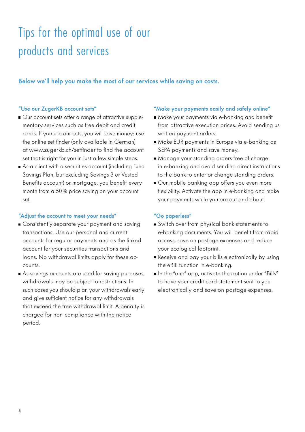## Tips for the optimal use of our products and services

Below we'll help you make the most of our services while saving on costs.

#### "Use our ZugerKB account sets"

- Our account sets offer a range of attractive supplementary services such as free debit and credit cards. If you use our sets, you will save money: use the online set finder (only available in German) at www.zugerkb.ch/setfinder to find the account set that is right for you in just a few simple steps.
- As a client with a securities account (including Fund Savings Plan, but excluding Savings 3 or Vested Benefits account) or mortgage, you benefit every month from a 50% price saving on your account set.

#### "Adiust the account to meet your needs"

- **Consistently separate your payment and saving** transactions. Use our personal and current accounts for regular payments and as the linked account for your securities transactions and loans. No withdrawal limits apply for these accounts.
- As savings accounts are used for saving purposes, withdrawals may be subject to restrictions. In such cases you should plan your withdrawals early and give sufficient notice for any withdrawals that exceed the free withdrawal limit. A penalty is charged for non-compliance with the notice period.

#### "Make your payments easily and safely online"

- Make your payments via e-banking and benefit from attractive execution prices. Avoid sending us written payment orders.
- Make EUR payments in Europe via e-banking as SEPA payments and save money.
- Manage your standing orders free of charge in e-banking and avoid sending direct instructions to the bank to enter or change standing orders.
- Our mobile banking app offers you even more flexibility. Activate the app in e-banking and make your payments while you are out and about.

#### "Go paperless"

- Switch over from physical bank statements to e-banking documents. You will benefit from rapid access, save on postage expenses and reduce your ecological footprint.
- Receive and pay your bills electronically by using the eBill function in e-banking.
- In the "one" app, activate the option under "Bills" to have your credit card statement sent to you electronically and save on postage expenses.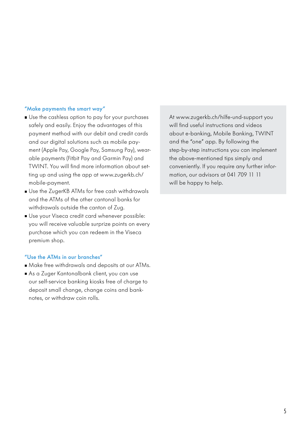#### "Make payments the smart way"

- Use the cashless option to pay for your purchases safely and easily. Enjoy the advantages of this payment method with our debit and credit cards and our digital solutions such as mobile payment (Apple Pay, Google Pay, Samsung Pay), wearable payments (Fitbit Pay and Garmin Pay) and TWINT. You will find more information about setting up and using the app at www.zugerkb.ch/ mobile-payment.
- Use the ZugerKB ATMs for free cash withdrawals and the ATMs of the other cantonal banks for withdrawals outside the canton of Zug.
- Use your Viseca credit card whenever possible: you will receive valuable surprize points on every purchase which you can redeem in the Viseca premium shop.

#### "Use the ATMs in our branches"

- Make free withdrawals and deposits at our ATMs.
- As a Zuger Kantonalbank client, you can use our self-service banking kiosks free of charge to deposit small change, change coins and banknotes, or withdraw coin rolls.

At www.zugerkb.ch/hilfe-und-support you will find useful instructions and videos about e-banking, Mobile Banking, TWINT and the "one" app. By following the step-by-step instructions you can implement the above-mentioned tips simply and conveniently. If you require any further information, our advisors at 041 709 11 11 will be happy to help.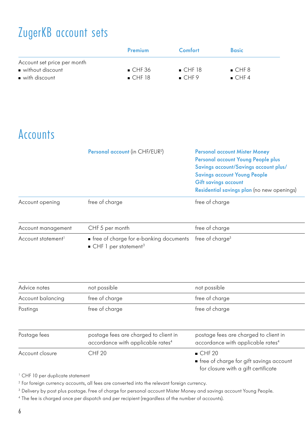### ZugerKB account sets

|                              | Premium               | Comfort | <b>Basic</b> |
|------------------------------|-----------------------|---------|--------------|
| Account set price per month  |                       |         |              |
| without discount             | $\blacksquare$ CHF 36 | CHF18   | CHF8         |
| $\blacksquare$ with discount | CHF18                 | CHF9    | $CHF_4$      |

### Accounts

| free of charge<br>free of charge<br>free of charge<br>CHF 5 per month |                    | Personal account (in CHF/EUR <sup>2</sup> ) | <b>Personal account Mister Money</b><br>Personal account Young People plus<br>Savings account/Savings account plus/<br><b>Savings account Young People</b><br><b>Gift savings account</b><br>Residential savings plan (no new openings) |  |
|-----------------------------------------------------------------------|--------------------|---------------------------------------------|-----------------------------------------------------------------------------------------------------------------------------------------------------------------------------------------------------------------------------------------|--|
|                                                                       | Account opening    |                                             |                                                                                                                                                                                                                                         |  |
|                                                                       | Account management |                                             |                                                                                                                                                                                                                                         |  |

Account statement  $\blacksquare$  free of charge for e-banking documents free of charge<sup>3</sup> CHF 1 per statement<sup>3</sup> free of charge $^3$  e-banking documents:  $\delta$ 

| Advice notes      | not possible                                                                           | not possible                                                                                           |
|-------------------|----------------------------------------------------------------------------------------|--------------------------------------------------------------------------------------------------------|
| Account balancing | free of charge                                                                         | free of charge                                                                                         |
| Postings          | free of charge                                                                         | free of charge                                                                                         |
| Postage fees      | postage fees are charged to client in<br>accordance with applicable rates <sup>4</sup> | postage fees are charged to client in<br>accordance with applicable rates <sup>4</sup>                 |
| Account closure   | CHF <sub>20</sub>                                                                      | CHF20<br>$\blacksquare$ free of charge for gift savings account<br>for closure with a gift certificate |

<sup>1</sup> CHF 10 per duplicate statement

<sup>2</sup> For foreign currency accounts, all fees are converted into the relevant foreign currency.

<sup>3</sup> Delivery by post plus postage. Free of charge for personal account Mister Money and savings account Young People.

<sup>4</sup> The fee is charged once per dispatch and per recipient (regardless of the number of accounts).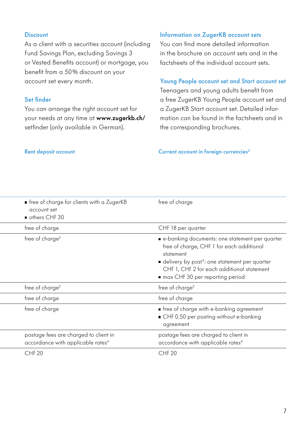### **Discount**

As a client with a securities account (including Fund Savings Plan, excluding Savings 3 or Vested Benefits account) or mortgage, you benefit from a 50% discount on your account set every month.

### Set finder

You can arrange the right account set for your needs at any time at www.zugerkb.ch/ setfinder (only available in German).

### Information on ZugerKB account sets

You can find more detailed information in the brochure on account sets and in the factsheets of the individual account sets.

### Young People account set and Start account set

Teenagers and young adults benefit from a free ZugerKB Young People account set and a ZugerKB Start account set. Detailed information can be found in the factsheets and in the corresponding brochures.

### Rent deposit account Current account in foreign currencies<sup>2</sup>

|                   | • free of charge for clients with a ZugerKB<br>account set<br>others CHF 30            | free of charge                                                                                                                                                                                                                                         |
|-------------------|----------------------------------------------------------------------------------------|--------------------------------------------------------------------------------------------------------------------------------------------------------------------------------------------------------------------------------------------------------|
| free of charge    |                                                                                        | CHF 18 per quarter                                                                                                                                                                                                                                     |
|                   | free of charge <sup>3</sup>                                                            | e-banking documents: one statement per quarter<br>free of charge, CHF 1 for each additional<br>statement<br>delivery by post <sup>3</sup> : one statement per quarter<br>CHF 1, CHF 2 for each additional statement<br>max CHF 30 per reporting period |
|                   | free of charge <sup>3</sup>                                                            | free of charge <sup>3</sup>                                                                                                                                                                                                                            |
| free of charge    |                                                                                        | free of charge                                                                                                                                                                                                                                         |
| free of charge    |                                                                                        | • free of charge with e-banking agreement<br>■ CHF 0.50 per posting without e-banking<br>agreement                                                                                                                                                     |
|                   | postage fees are charged to client in<br>accordance with applicable rates <sup>4</sup> | postage fees are charged to client in<br>accordance with applicable rates <sup>4</sup>                                                                                                                                                                 |
| CHF <sub>20</sub> |                                                                                        | CHF <sub>20</sub>                                                                                                                                                                                                                                      |
|                   |                                                                                        |                                                                                                                                                                                                                                                        |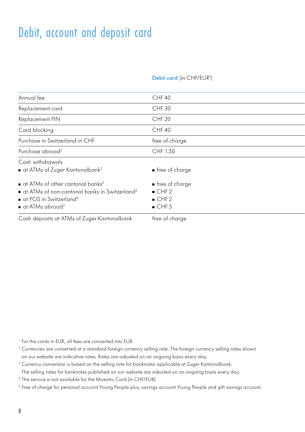### Debit, account and deposit card

#### Debit card (in CHF/EUR<sup>1</sup>) ) studies the chemical card (in  $C$ H $\geq$

| Annual fee                                                                                                                                                                                                                                 | CHF40                                  |
|--------------------------------------------------------------------------------------------------------------------------------------------------------------------------------------------------------------------------------------------|----------------------------------------|
| Replacement card                                                                                                                                                                                                                           | CHF <sub>30</sub>                      |
| Replacement PIN                                                                                                                                                                                                                            | CHF <sub>20</sub>                      |
| Card blocking                                                                                                                                                                                                                              | CHF40                                  |
| Purchase in Switzerland in CHF                                                                                                                                                                                                             | free of charge                         |
| Purchase abroad <sup>2</sup>                                                                                                                                                                                                               | CHF 1.50                               |
| Cash withdrawals<br>$\blacksquare$ at ATMs of Zuger Kantonalbank <sup>3</sup>                                                                                                                                                              | free of charge                         |
| $\blacksquare$ at ATMs of other cantonal banks <sup>3</sup><br>$\blacksquare$ at ATMs of non-cantonal banks in Switzerland <sup>3</sup><br>$\blacksquare$ at POS in Switzerland <sup>4</sup><br>$\blacksquare$ at ATMs abroad <sup>2</sup> | free of charge<br>CHF2<br>CHF2<br>CHF5 |
| Cash deposits at ATMs of Zuger Kantonalbank                                                                                                                                                                                                | free of charge                         |

<sup>1</sup> For the cards in EUR, all fees are converted into EUR.

<sup>3</sup> Currency conversion is based on the selling rate for banknotes applicable at Zuger Kantonalbank.

The selling rates for banknotes published on our website are adjusted on an ongoing basis every day.

<sup>4</sup> The service is not available for the Maestro Card (in CHF/EUR).

<sup>5</sup> Free of charge for personal account Young People plus, savings account Young People and gift savings account.

<sup>&</sup>lt;sup>2</sup> Currencies are converted at a standard foreign currency selling rate. The foreign currency selling rates shown on our website are indicative rates. Rates are adjusted on an ongoing basis every day.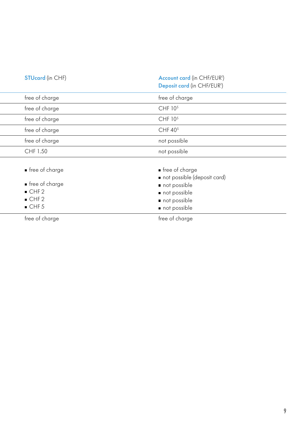| <b>STUcard</b> (in CHF) | Account card (in CHF/EUR <sup>1</sup> )<br>Deposit card (in CHF/EUR <sup>1</sup> ) |
|-------------------------|------------------------------------------------------------------------------------|
| free of charge          | free of charge                                                                     |
| free of charge          | CHF 10 <sup>5</sup>                                                                |
| free of charge          | CHF 10 <sup>5</sup>                                                                |
| free of charge          | CHF 40 <sup>5</sup>                                                                |
| free of charge          | not possible                                                                       |
| CHF 1.50                | not possible                                                                       |
| ■ free of charge        | $\blacksquare$ free of charge                                                      |
|                         | not possible (deposit card)                                                        |
| ■ free of charge        | not possible                                                                       |
| CHF2                    | not possible                                                                       |
| $\blacksquare$ CHF 2    | not possible                                                                       |
| CHF 5                   | not possible                                                                       |

free of charge  $\hskip 45pt$  free of charge free of charge free of charge free of charge  $\hskip 45pt$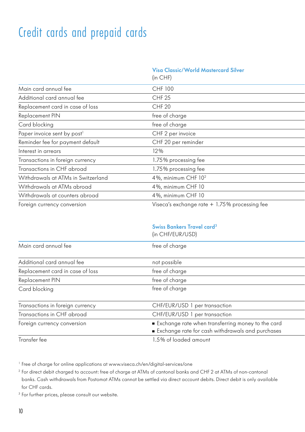### Credit cards and prepaid cards

### Visa Classic/World Mastercard Silver

|                                         | (in CHF)                                       |  |
|-----------------------------------------|------------------------------------------------|--|
| Main card annual fee                    | CHF 100                                        |  |
| Additional card annual fee              | CHF <sub>25</sub>                              |  |
| Replacement card in case of loss        | CHF <sub>20</sub>                              |  |
| Replacement PIN                         | free of charge                                 |  |
| Card blocking                           | free of charge                                 |  |
| Paper invoice sent by post <sup>1</sup> | CHF 2 per invoice                              |  |
| Reminder fee for payment default        | CHF 20 per reminder                            |  |
| Interest in arrears                     | 12%                                            |  |
| Transactions in foreign currency        | 1.75% processing fee                           |  |
| Transactions in CHF abroad              | 1.75% processing fee                           |  |
| Withdrawals at ATMs in Switzerland      | 4%, minimum CHF 10 <sup>2</sup>                |  |
| Withdrawals at ATMs abroad              | 4%, minimum CHF 10                             |  |
| Withdrawals at counters abroad          | 4%, minimum CHF 10                             |  |
| Foreign currency conversion             | Viseca's exchange rate $+1.75%$ processing fee |  |

### Swiss Bankers Travel card3

|                                  | (in CHF/EUR/USD)                                                                                      |
|----------------------------------|-------------------------------------------------------------------------------------------------------|
| Main card annual fee             | free of charge                                                                                        |
| Additional card annual fee       | not possible                                                                                          |
| Replacement card in case of loss | free of charge                                                                                        |
| Replacement PIN                  | free of charge                                                                                        |
| Card blocking                    | free of charge                                                                                        |
| Transactions in foreign currency | CHF/EUR/USD 1 per transaction                                                                         |
| Transactions in CHF abroad       | CHF/EUR/USD 1 per transaction                                                                         |
| Foreign currency conversion      | Exchange rate when transferring money to the card<br>Exchange rate for cash withdrawals and purchases |
| Transfer fee                     | .5% of loaded amount                                                                                  |

<sup>1</sup> Free of charge for online applications at www.viseca.ch/en/digital-services/one

<sup>2</sup> For direct debit charged to account: free of charge at ATMs of cantonal banks and CHF 2 at ATMs of non-cantonal banks. Cash withdrawals from Postomat ATMs cannot be settled via direct account debits. Direct debit is only available for CHF cards.

<sup>3</sup> For further prices, please consult our website.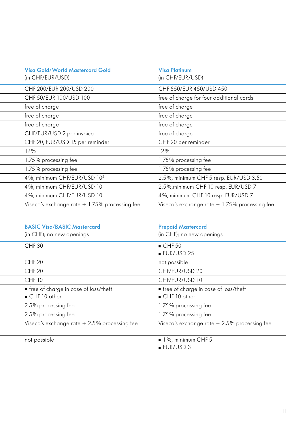| Visa Gold/World Mastercard Gold<br>(in CHF/EUR/USD) | <b>Visa Platinum</b><br>(in CHF/EUR/USD)       |
|-----------------------------------------------------|------------------------------------------------|
| CHF 200/EUR 200/USD 200                             | CHF 550/EUR 450/USD 450                        |
| CHF 50/EUR 100/USD 100                              | free of charge for four additional cards       |
| free of charge                                      | free of charge                                 |
| free of charge                                      | free of charge                                 |
| free of charge                                      | free of charge                                 |
| CHF/EUR/USD 2 per invoice                           | free of charge                                 |
| CHF 20, EUR/USD 15 per reminder                     | CHF 20 per reminder                            |
| 12%                                                 | $12\%$                                         |
| 1.75% processing fee                                | 1.75% processing fee                           |
| 1.75% processing fee                                | 1.75% processing fee                           |
| 4%, minimum CHF/EUR/USD 10 <sup>2</sup>             | 2,5%, minimum CHF 5 resp. EUR/USD 3.50         |
| 4%, minimum CHF/EUR/USD 10                          | 2,5%, minimum CHF 10 resp. EUR/USD 7           |
| 4%, minimum CHF/EUR/USD 10                          | 4%, minimum CHF 10 resp. EUR/USD 7             |
| Viseca's exchange rate $+1.75%$ processing fee      | Viseca's exchange rate $+1.75%$ processing fee |

| <b>BASIC Visa/BASIC Mastercard</b><br>(in CHF); no new openings | <b>Prepaid Mastercard</b><br>(in CHF); no new openings |
|-----------------------------------------------------------------|--------------------------------------------------------|
| <b>CHF30</b>                                                    | $\blacksquare$ CHF 50                                  |
|                                                                 | $EUR/USD$ 25                                           |
| CHF <sub>20</sub>                                               | not possible                                           |
| CHF <sub>20</sub>                                               | CHF/EUR/USD 20                                         |
| CHF 10                                                          | CHF/EUR/USD 10                                         |
| $\blacksquare$ free of charge in case of loss/theft             | $\blacksquare$ free of charge in case of loss/theft    |
| $CHF10$ other                                                   | $\blacksquare$ CHF 10 other                            |
| 2.5% processing fee                                             | 1.75% processing fee                                   |
| 2.5% processing fee                                             | 1.75% processing fee                                   |
| Viseca's exchange rate + 2.5% processing fee                    | Viseca's exchange rate + 2.5% processing fee           |
|                                                                 |                                                        |

Transfer fee 1%, minimum CHF 5

**EUR/USD 3**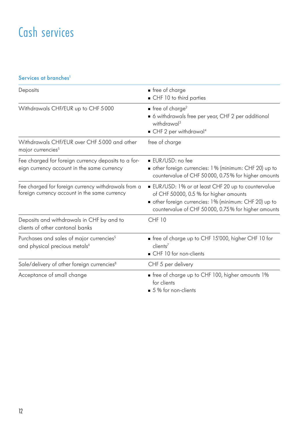### Cash services

### Services at branches<sup>1</sup>

| Deposits                                                                                             | • free of charge                                                                                                                                                                                           |
|------------------------------------------------------------------------------------------------------|------------------------------------------------------------------------------------------------------------------------------------------------------------------------------------------------------------|
|                                                                                                      | CHF 10 to third parties                                                                                                                                                                                    |
| Withdrawals CHF/EUR up to CHF 5000                                                                   | $\blacksquare$ free of charge <sup>2</sup><br>• 6 withdrawals free per year, CHF 2 per additional<br>withdrawal <sup>3</sup><br>$\blacksquare$ CHF 2 per withdrawal <sup>4</sup>                           |
| Withdrawals CHF/EUR over CHF 5000 and other<br>major currencies <sup>5</sup>                         | free of charge                                                                                                                                                                                             |
| Fee charged for foreign currency deposits to a for-<br>eign currency account in the same currency    | $\blacksquare$ EUR/USD: no fee<br>other foreign currencies: 1% (minimum: CHF 20) up to<br>countervalue of CHF 50000, 0.75% for higher amounts                                                              |
| Fee charged for foreign currency withdrawals from a<br>foreign currency account in the same currency | EUR/USD: 1% or at least CHF 20 up to countervalue<br>of CHF 50000, 0.5 % for higher amounts<br>other foreign currencies: 1% (minimum: CHF 20) up to<br>countervalue of CHF 50000, 0.75% for higher amounts |
| Deposits and withdrawals in CHF by and to<br>clients of other cantonal banks                         | <b>CHF 10</b>                                                                                                                                                                                              |
| Purchases and sales of major currencies <sup>5</sup><br>and physical precious metals <sup>6</sup>    | free of charge up to CHF 15'000, higher CHF 10 for<br>client <sup>7</sup><br>CHF 10 for non-clients                                                                                                        |
| Sale/delivery of other foreign currencies <sup>8</sup>                                               | CHF 5 per delivery                                                                                                                                                                                         |
| Acceptance of small change                                                                           | free of charge up to CHF 100, higher amounts 1%<br>for clients<br>■ 5 % for non-clients                                                                                                                    |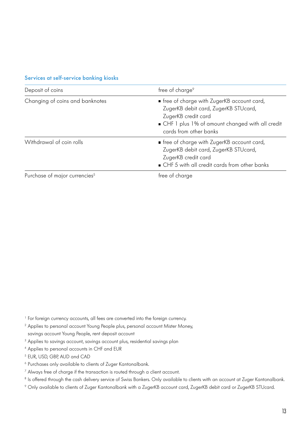#### Services at self-service banking kiosks

| Deposit of coins                          | free of charge <sup>9</sup>                                                                                                                                                             |
|-------------------------------------------|-----------------------------------------------------------------------------------------------------------------------------------------------------------------------------------------|
| Changing of coins and banknotes           | free of charge with ZugerKB account card,<br>ZugerKB debit card, ZugerKB STUcard,<br>ZugerKB credit card<br>■ CHF 1 plus 1% of amount changed with all credit<br>cards from other banks |
| Withdrawal of coin rolls                  | free of charge with ZugerKB account card,<br>ZugerKB debit card, ZugerKB STUcard,<br>ZugerKB credit card<br>• CHF 5 with all credit cards from other banks                              |
| Purchase of major currencies <sup>5</sup> | free of charge                                                                                                                                                                          |

<sup>1</sup> For foreign currency accounts, all fees are converted into the foreign currency.

- <sup>2</sup> Applies to personal account Young People plus, personal account Mister Money, savings account Young People, rent deposit account
- <sup>3</sup> Applies to savings account, savings account plus, residential savings plan
- <sup>4</sup> Applies to personal accounts in CHF and EUR
- <sup>5</sup> EUR, USD, GBP, AUD and CAD
- <sup>6</sup> Purchases only available to clients of Zuger Kantonalbank.
- <sup>7</sup> Always free of charge if the transaction is routed through a client account.
- <sup>8</sup> Is offered through the cash delivery service of Swiss Bankers. Only available to clients with an account at Zuger Kantonalbank.
- <sup>9</sup> Only available to clients of Zuger Kantonalbank with a ZugerKB account card, ZugerKB debit card or ZugerKB STUcard.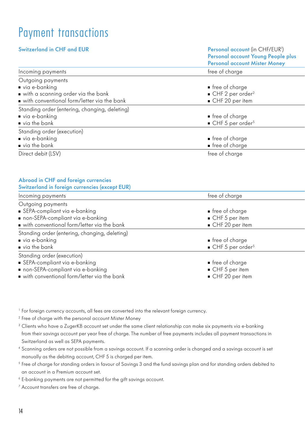### Payment transactions

| <b>Switzerland in CHF and EUR</b>                                                                                                            | Personal account (in CHF/EUR <sup>1</sup> )<br>Personal account Young People plus<br><b>Personal account Mister Money</b> |
|----------------------------------------------------------------------------------------------------------------------------------------------|---------------------------------------------------------------------------------------------------------------------------|
| Incoming payments                                                                                                                            | free of charge                                                                                                            |
| Outgoing payments<br>via e-banking<br>with a scanning order via the bank<br>with conventional form/letter via the bank                       | ■ free of charge<br>CHF 2 per order <sup>2</sup><br>CHF 20 per item                                                       |
| Standing order (entering, changing, deleting)<br>■ via e-banking<br>via the bank                                                             | ■ free of charge<br>$\blacksquare$ CHF 5 per order <sup>5</sup>                                                           |
| Standing order (execution)<br>via e-banking<br>$\blacksquare$ via the bank                                                                   | ■ free of charge<br>• free of charge                                                                                      |
| Direct debit (LSV)                                                                                                                           | free of charge                                                                                                            |
| Abroad in CHF and foreign currencies<br>Switzerland in foreign currencies (except EUR)<br>Incoming payments                                  | free of charge                                                                                                            |
| Outgoing payments<br>■ SEPA-compliant via e-banking<br>non-SEPA-compliant via e-banking<br>with conventional form/letter via the bank        | ■ free of charge<br>$\blacksquare$ CHF 5 per item<br>CHF 20 per item                                                      |
| Standing order (entering, changing, deleting)<br>via e-banking<br>via the bank                                                               | $\blacksquare$ free of charge<br>CHF 5 per order <sup>5</sup>                                                             |
| Standing order (execution)<br>SEPA-compliant via e-banking<br>non-SEPA-compliant via e-banking<br>with conventional form/letter via the bank | ■ free of charge<br>$\blacksquare$ CHF 5 per item<br>CHF 20 per item                                                      |

<sup>1</sup> For foreign currency accounts, all fees are converted into the relevant foreign currency.

<sup>2</sup> Free of charge with the personal account Mister Money

<sup>3</sup> Clients who have a ZugerKB account set under the same client relationship can make six payments via e-banking from their savings account per year free of charge. The number of free payments includes all payment transactions in Switzerland as well as SEPA payments.

<sup>4</sup> Scanning orders are not possible from a savings account. If a scanning order is changed and a savings account is set manually as the debiting account, CHF 5 is charged per item.

<sup>5</sup> Free of charge for standing orders in favour of Savings 3 and the fund savings plan and for standing orders debited to an account in a Premium account set.

<sup>6</sup> E-banking payments are not permitted for the gift savings account.

<sup>7</sup> Account transfers are free of charge.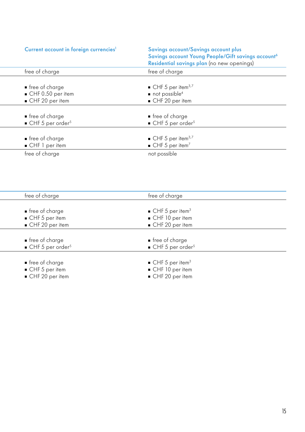| Current account in foreign currencies <sup>1</sup>                                     | Savings account/Savings account plus<br>Savings account Young People/Gift savings account <sup>6</sup><br>Residential savings plan (no new openings) |
|----------------------------------------------------------------------------------------|------------------------------------------------------------------------------------------------------------------------------------------------------|
| free of charge                                                                         | free of charge                                                                                                                                       |
| $\blacksquare$ free of charge<br>$\blacksquare$ CHF 0.50 per item<br>■ CHF 20 per item | $\blacksquare$ CHF 5 per item <sup>3,7</sup><br>$\blacksquare$ not possible <sup>4</sup><br>CHF 20 per item                                          |
| $\blacksquare$ free of charge                                                          | ■ free of charge                                                                                                                                     |
| $\blacksquare$ CHF 5 per order <sup>5</sup>                                            | $\blacksquare$ CHF 5 per order <sup>5</sup>                                                                                                          |
| $\blacksquare$ free of charge<br>■ CHF 1 per item                                      | $\blacksquare$ CHF 5 per item <sup>3,7</sup><br>$\blacksquare$ CHF 5 per item <sup>7</sup>                                                           |
| free of charge                                                                         | not possible                                                                                                                                         |

| free of charge                              | free of charge                              |  |
|---------------------------------------------|---------------------------------------------|--|
|                                             |                                             |  |
| $\blacksquare$ free of charge               | $\blacksquare$ CHF 5 per item <sup>3</sup>  |  |
| $CHF5$ per item                             | $\blacksquare$ CHF 10 per item              |  |
| $\blacksquare$ CHF 20 per item              | $\blacksquare$ CHF 20 per item              |  |
|                                             |                                             |  |
| $\blacksquare$ free of charge               | $\blacksquare$ free of charge               |  |
| $\blacksquare$ CHF 5 per order <sup>5</sup> | $\blacksquare$ CHF 5 per order <sup>5</sup> |  |
|                                             |                                             |  |
| $\blacksquare$ free of charge               | $\blacksquare$ CHF 5 per item <sup>3</sup>  |  |
| $CHF5$ per item                             | $\blacksquare$ CHF 10 per item              |  |
| $\blacksquare$ CHF 20 per item              | $\blacksquare$ CHF 20 per item              |  |
|                                             |                                             |  |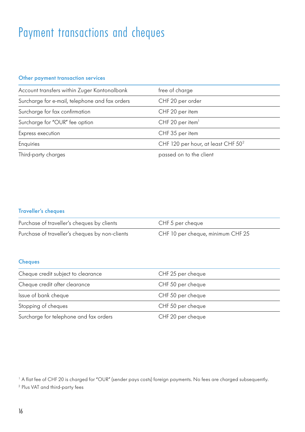### Payment transactions and cheques

### Other payment transaction services

| Account transfers within Zuger Kantonalbank    | free of charge                                 |
|------------------------------------------------|------------------------------------------------|
| Surcharge for e-mail, telephone and fax orders | CHF 20 per order                               |
| Surcharge for fax confirmation                 | CHF 20 per item                                |
| Surcharge for "OUR" fee option                 | CHF 20 per item $1$                            |
| Express execution                              | CHF 35 per item                                |
| Enquiries                                      | CHF 120 per hour, at least CHF 50 <sup>2</sup> |
| Third-party charges                            | passed on to the client                        |

### Traveller's cheques

| Purchase of traveller's cheques by clients     | CHF 5 per cheque                  |
|------------------------------------------------|-----------------------------------|
| Purchase of traveller's cheques by non-clients | CHF 10 per cheque, minimum CHF 25 |

### **Cheques**

| Cheque credit subject to clearance     | CHF 25 per cheque |
|----------------------------------------|-------------------|
| Cheque credit after clearance          | CHF 50 per cheque |
| Issue of bank cheque                   | CHF 50 per cheque |
| Stopping of cheques                    | CHF 50 per cheque |
| Surcharge for telephone and fax orders | CHF 20 per cheque |

<sup>1</sup> A flat fee of CHF 20 is charged for "OUR" (sender pays costs) foreign payments. No fees are charged subsequently. <sup>2</sup> Plus VAT and third-party fees

16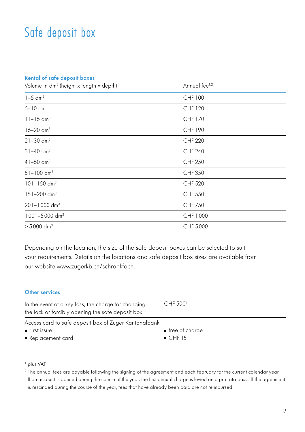### Safe deposit box

#### Rental of safe deposit boxes

| Volume in dm <sup>3</sup> (height x length x depth) | Annual fee <sup>1,2</sup> |
|-----------------------------------------------------|---------------------------|
| $1-5$ dm <sup>3</sup>                               | CHF 100                   |
| $6 - 10$ dm <sup>3</sup>                            | <b>CHF 120</b>            |
| $11 - 15$ dm <sup>3</sup>                           | CHF 170                   |
| $16 - 20$ dm <sup>3</sup>                           | CHF 190                   |
| $21 - 30$ dm <sup>3</sup>                           | <b>CHF 220</b>            |
| $31 - 40$ dm <sup>3</sup>                           | <b>CHF 240</b>            |
| $41 - 50$ dm <sup>3</sup>                           | <b>CHF 250</b>            |
| $51 - 100$ dm <sup>3</sup>                          | <b>CHF 350</b>            |
| $101 - 150$ dm <sup>3</sup>                         | <b>CHF 520</b>            |
| $151 - 200$ dm <sup>3</sup>                         | <b>CHF 550</b>            |
| $201 - 1000$ dm <sup>3</sup>                        | <b>CHF 750</b>            |
| $1001 - 5000$ dm <sup>3</sup>                       | CHF 1000                  |
| $> 5000$ dm <sup>3</sup>                            | CHF 5000                  |

Depending on the location, the size of the safe deposit boxes can be selected to suit your requirements. Details on the locations and safe deposit box sizes are available from our website www.zugerkb.ch/schrankfach.

### Other services

| In the event of a key loss, the charge for changing<br>the lock or forcibly opening the safe deposit box | CHF 500 <sup>1</sup>      |
|----------------------------------------------------------------------------------------------------------|---------------------------|
| Access card to safe deposit box of Zuger Kantonalbank<br>$\blacksquare$ First issue<br>Replacement card  | ■ free of charge<br>CHF15 |

#### <sup>1</sup> plus VAT

<sup>2</sup> The annual fees are payable following the signing of the agreement and each February for the current calendar year. If an account is opened during the course of the year, the first annual charge is levied on a pro rata basis. If the agreement is rescinded during the course of the year, fees that have already been paid are not reimbursed.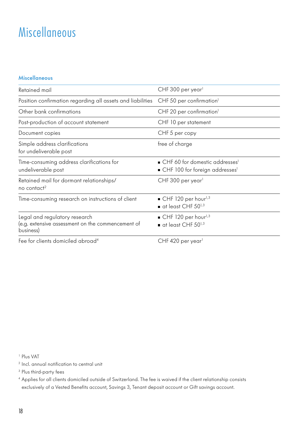### Miscellaneous

### Miscellaneous

| Retained mail                                                                                   | CHF 300 per year <sup>1</sup>                                                                   |
|-------------------------------------------------------------------------------------------------|-------------------------------------------------------------------------------------------------|
| Position confirmation regarding all assets and liabilities                                      | CHF 50 per confirmation <sup>1</sup>                                                            |
| Other bank confirmations                                                                        | CHF 20 per confirmation <sup>1</sup>                                                            |
| Post-production of account statement                                                            | CHF 10 per statement                                                                            |
| Document copies                                                                                 | CHF 5 per copy                                                                                  |
| Simple address clarifications<br>for undeliverable post                                         | free of charge                                                                                  |
| Time-consuming address clarifications for<br>undeliverable post                                 | ■ CHF 60 for domestic addresses <sup>1</sup><br>■ CHF 100 for foreign addresses <sup>1</sup>    |
| Retained mail for dormant relationships/<br>no contact <sup>2</sup>                             | CHF 300 per year <sup>1</sup>                                                                   |
| Time-consuming research on instructions of client                                               | $\blacksquare$ CHF 120 per hour <sup>1,3</sup><br>$\blacksquare$ at least CHF 50 <sup>1,3</sup> |
| Legal and regulatory research<br>(e.g. extensive assessment on the commencement of<br>business) | $\blacksquare$ CHF 120 per hour <sup>1,3</sup><br>$\blacksquare$ at least CHF 50 <sup>1,3</sup> |
| Free from alternational constability of solemn and 4.                                           | $CUTE AOD = 1.1$                                                                                |

Fee for clients domiciled abroad

CHF 420 per year

<sup>1</sup> Plus VAT

<sup>2</sup> Incl. annual notification to central unit

<sup>3</sup> Plus third-party fees

<sup>4</sup> Applies for all clients domiciled outside of Switzerland. The fee is waived if the client relationship consists exclusively of a Vested Benefits account, Savings 3, Tenant deposit account or Gift savings account.